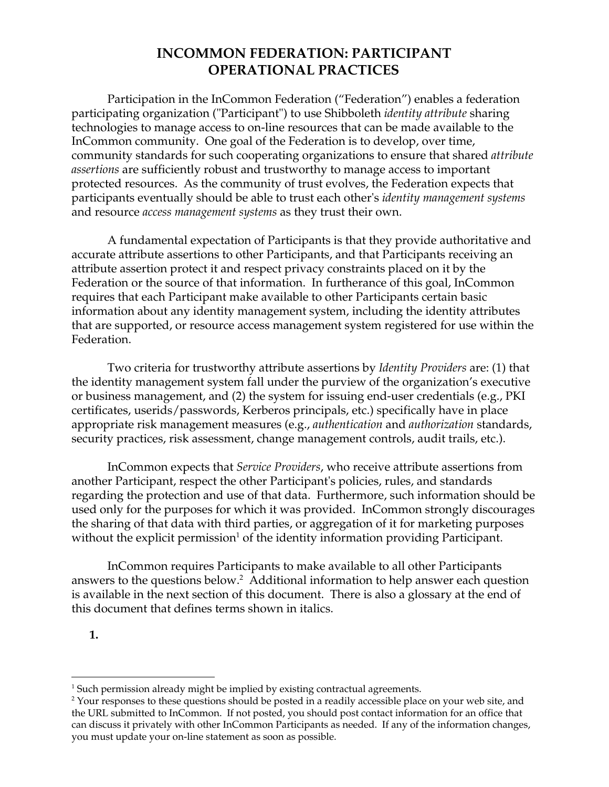Participation in the InCommon Federation ("Federation") enables a federation participating organization ("Participant") to use Shibboleth *identity attribute* sharing technologies to manage access to on-line resources that can be made available to the InCommon community. One goal of the Federation is to develop, over time, community standards for such cooperating organizations to ensure that shared *attribute assertions* are sufficiently robust and trustworthy to manage access to important protected resources. As the community of trust evolves, the Federation expects that participants eventually should be able to trust each other's *identity management systems* and resource *access management systems* as they trust their own.

A fundamental expectation of Participants is that they provide authoritative and accurate attribute assertions to other Participants, and that Participants receiving an attribute assertion protect it and respect privacy constraints placed on it by the Federation or the source of that information. In furtherance of this goal, InCommon requires that each Participant make available to other Participants certain basic information about any identity management system, including the identity attributes that are supported, or resource access management system registered for use within the Federation.

Two criteria for trustworthy attribute assertions by *Identity Providers* are: (1) that the identity management system fall under the purview of the organization's executive or business management, and (2) the system for issuing end-user credentials (e.g., PKI certificates, userids/passwords, Kerberos principals, etc.) specifically have in place appropriate risk management measures (e.g., *authentication* and *authorization* standards, security practices, risk assessment, change management controls, audit trails, etc.).

InCommon expects that *Service Providers*, who receive attribute assertions from another Participant, respect the other Participant's policies, rules, and standards regarding the protection and use of that data. Furthermore, such information should be used only for the purposes for which it was provided. InCommon strongly discourages the sharing of that data with third parties, or aggregation of it for marketing purposes without the explicit permission $^1$  of the identity information providing Participant.

InCommon requires Participants to make available to all other Participants answers to the questions below. $^2$  Additional information to help answer each question is available in the next section of this document. There is also a glossary at the end of this document that defines terms shown in italics.

**1.**

<sup>&</sup>lt;sup>1</sup> Such permission already might be implied by existing contractual agreements.

<sup>&</sup>lt;sup>2</sup> Your responses to these questions should be posted in a readily accessible place on your web site, and the URL submitted to InCommon. If not posted, you should post contact information for an office that can discuss it privately with other InCommon Participants as needed. If any of the information changes, you must update your on-line statement as soon as possible.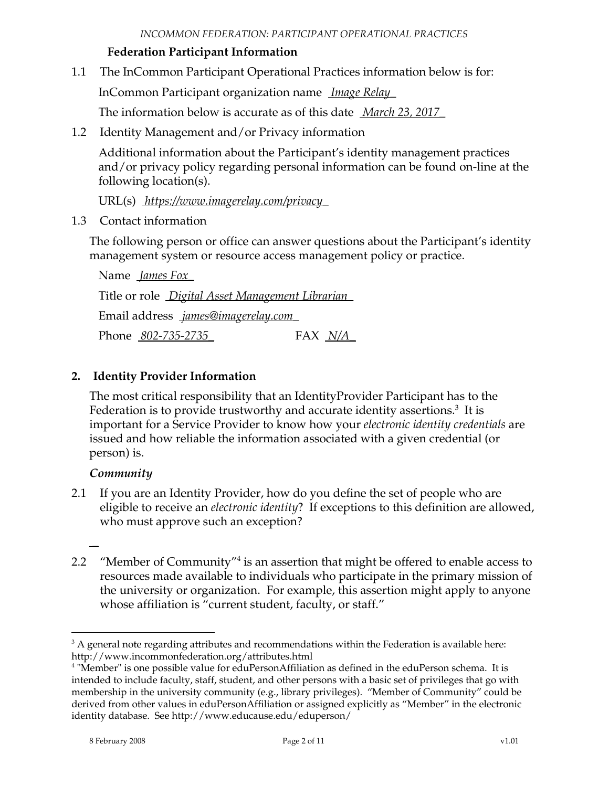#### **Federation Participant Information**

1.1 The InCommon Participant Operational Practices information below is for:

InCommon Participant organization name *Image Relay\_*

The information below is accurate as of this date *March 23, 2017\_*

1.2 Identity Management and/or Privacy information

Additional information about the Participant's identity management practices and/or privacy policy regarding personal information can be found on-line at the following location(s).

URL(s) *https://www.imagerelay.com/privacy\_*

1.3 Contact information

The following person or office can answer questions about the Participant's identity management system or resource access management policy or practice.

Name *James Fox\_* Title or role *Digital Asset Management Librarian\_* Email address *james@imagerelay.com\_* Phone *802-735-2735\_* FAX *N/A\_*

### **2. Identity Provider Information**

The most critical responsibility that an IdentityProvider Participant has to the Federation is to provide trustworthy and accurate identity assertions. $^3$  It is important for a Service Provider to know how your *electronic identity credentials* are issued and how reliable the information associated with a given credential (or person) is.

#### *Community*

*\_*

- 2.1 If you are an Identity Provider, how do you define the set of people who are eligible to receive an *electronic identity*? If exceptions to this definition are allowed, who must approve such an exception?
- 2.2  $\degree$  "Member of Community"<sup>4</sup> is an assertion that might be offered to enable access to resources made available to individuals who participate in the primary mission of the university or organization. For example, this assertion might apply to anyone whose affiliation is "current student, faculty, or staff."

 $3$  A general note regarding attributes and recommendations within the Federation is available here: http://www.incommonfederation.org/attributes.html

<sup>4</sup> "Member" is one possible value for eduPersonAffiliation as defined in the eduPerson schema. It is intended to include faculty, staff, student, and other persons with a basic set of privileges that go with membership in the university community (e.g., library privileges). "Member of Community" could be derived from other values in eduPersonAffiliation or assigned explicitly as "Member" in the electronic identity database. See http://www.educause.edu/eduperson/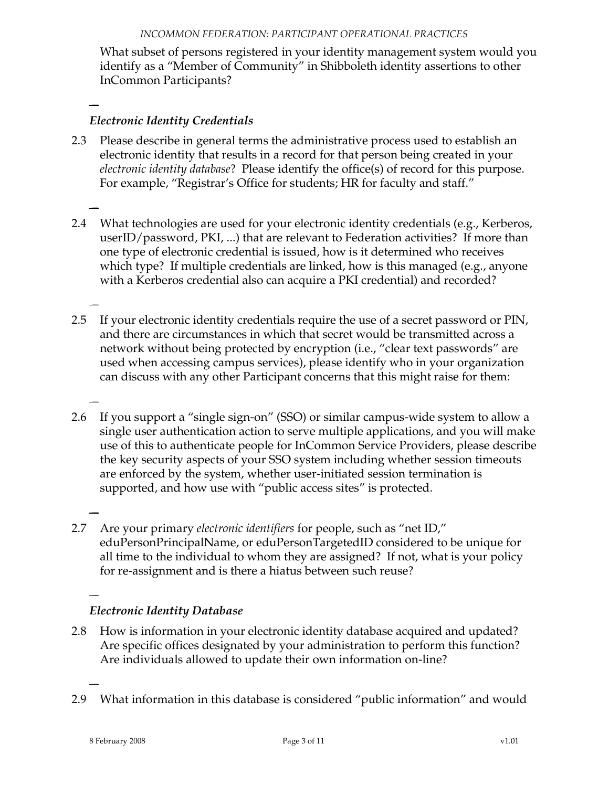What subset of persons registered in your identity management system would you identify as a "Member of Community" in Shibboleth identity assertions to other InCommon Participants?

*Electronic Identity Credentials*

*\_*

*\_*

*\_*

*\_*

*\_*

*\_*

*\_*

- 2.3 Please describe in general terms the administrative process used to establish an electronic identity that results in a record for that person being created in your *electronic identity database*? Please identify the office(s) of record for this purpose. For example, "Registrar's Office for students; HR for faculty and staff."
- 2.4 What technologies are used for your electronic identity credentials (e.g., Kerberos, userID/password, PKI, ...) that are relevant to Federation activities? If more than one type of electronic credential is issued, how is it determined who receives which type? If multiple credentials are linked, how is this managed (e.g., anyone with a Kerberos credential also can acquire a PKI credential) and recorded?
- 2.5 If your electronic identity credentials require the use of a secret password or PIN, and there are circumstances in which that secret would be transmitted across a network without being protected by encryption (i.e., "clear text passwords" are used when accessing campus services), please identify who in your organization can discuss with any other Participant concerns that this might raise for them:
- 2.6 If you support a "single sign-on" (SSO) or similar campus-wide system to allow a single user authentication action to serve multiple applications, and you will make use of this to authenticate people for InCommon Service Providers, please describe the key security aspects of your SSO system including whether session timeouts are enforced by the system, whether user-initiated session termination is supported, and how use with "public access sites" is protected.
- 2.7 Are your primary *electronic identifiers* for people, such as "net ID," eduPersonPrincipalName, or eduPersonTargetedID considered to be unique for all time to the individual to whom they are assigned? If not, what is your policy for re-assignment and is there a hiatus between such reuse?

## *Electronic Identity Database*

- 2.8 How is information in your electronic identity database acquired and updated? Are specific offices designated by your administration to perform this function? Are individuals allowed to update their own information on-line?
- 2.9 What information in this database is considered "public information" and would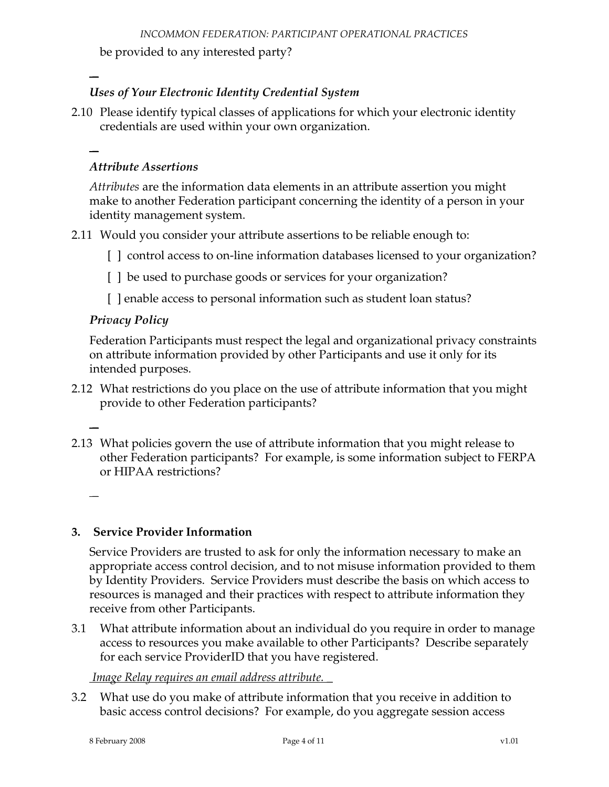be provided to any interested party?

### *Uses of Your Electronic Identity Credential System*

2.10 Please identify typical classes of applications for which your electronic identity credentials are used within your own organization.

# *\_*

*\_*

#### *Attribute Assertions*

*Attributes* are the information data elements in an attribute assertion you might make to another Federation participant concerning the identity of a person in your identity management system.

- 2.11 Would you consider your attribute assertions to be reliable enough to:
	- [ ] control access to on-line information databases licensed to your organization?
	- [ ] be used to purchase goods or services for your organization?
	- [ ] enable access to personal information such as student loan status?

#### *Privacy Policy*

Federation Participants must respect the legal and organizational privacy constraints on attribute information provided by other Participants and use it only for its intended purposes.

- 2.12 What restrictions do you place on the use of attribute information that you might provide to other Federation participants?
- 2.13 What policies govern the use of attribute information that you might release to other Federation participants? For example, is some information subject to FERPA or HIPAA restrictions?

*\_*

*\_*

### **3. Service Provider Information**

Service Providers are trusted to ask for only the information necessary to make an appropriate access control decision, and to not misuse information provided to them by Identity Providers. Service Providers must describe the basis on which access to resources is managed and their practices with respect to attribute information they receive from other Participants.

3.1 What attribute information about an individual do you require in order to manage access to resources you make available to other Participants? Describe separately for each service ProviderID that you have registered.

### *Image Relay requires an email address attribute. \_*

3.2 What use do you make of attribute information that you receive in addition to basic access control decisions? For example, do you aggregate session access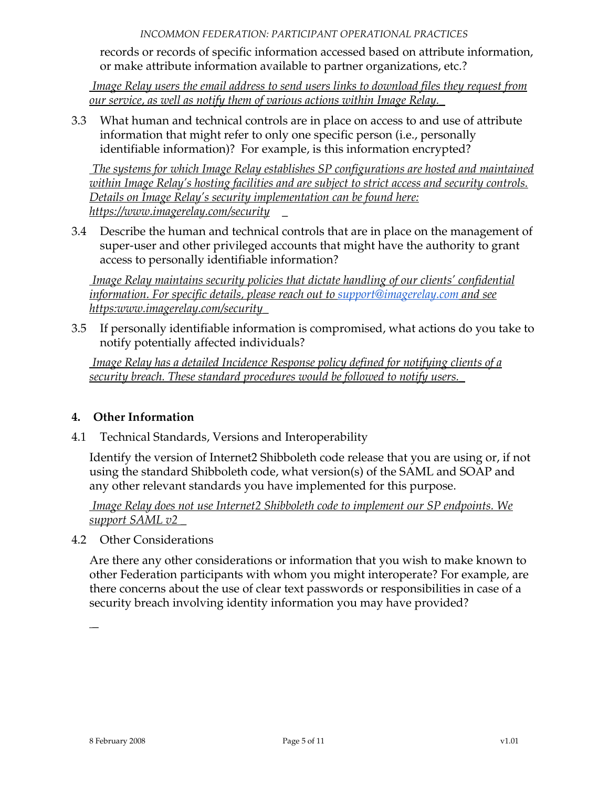records or records of specific information accessed based on attribute information, or make attribute information available to partner organizations, etc.?

*Image Relay users the email address to send users links to download files they request from our service, as well as notify them of various actions within Image Relay.\_*

3.3 What human and technical controls are in place on access to and use of attribute information that might refer to only one specific person (i.e., personally identifiable information)? For example, is this information encrypted?

*The systems for which Image Relay establishes SP configurations are hosted and maintained within Image Relay's hosting facilities and are subject to strict access and security controls. Details on Image Relay's security implementation can be found here: https://www.imagerelay.com/security \_*

3.4 Describe the human and technical controls that are in place on the management of super-user and other privileged accounts that might have the authority to grant access to personally identifiable information?

*Image Relay maintains security policies that dictate handling of our clients' confidential information. For specific details, please reach out to [support@imagerelay.com](mailto:support@imagerelay.com) and see https:www.imagerelay.com/security\_*

3.5 If personally identifiable information is compromised, what actions do you take to notify potentially affected individuals?

*Image Relay has a detailed Incidence Response policy defined for notifying clients of a security breach. These standard procedures would be followed to notify users.\_*

### **4. Other Information**

4.1 Technical Standards, Versions and Interoperability

Identify the version of Internet2 Shibboleth code release that you are using or, if not using the standard Shibboleth code, what version(s) of the SAML and SOAP and any other relevant standards you have implemented for this purpose.

*Image Relay does not use Internet2 Shibboleth code to implement our SP endpoints. We support SAML v2 \_*

4.2 Other Considerations

Are there any other considerations or information that you wish to make known to other Federation participants with whom you might interoperate? For example, are there concerns about the use of clear text passwords or responsibilities in case of a security breach involving identity information you may have provided?

*\_*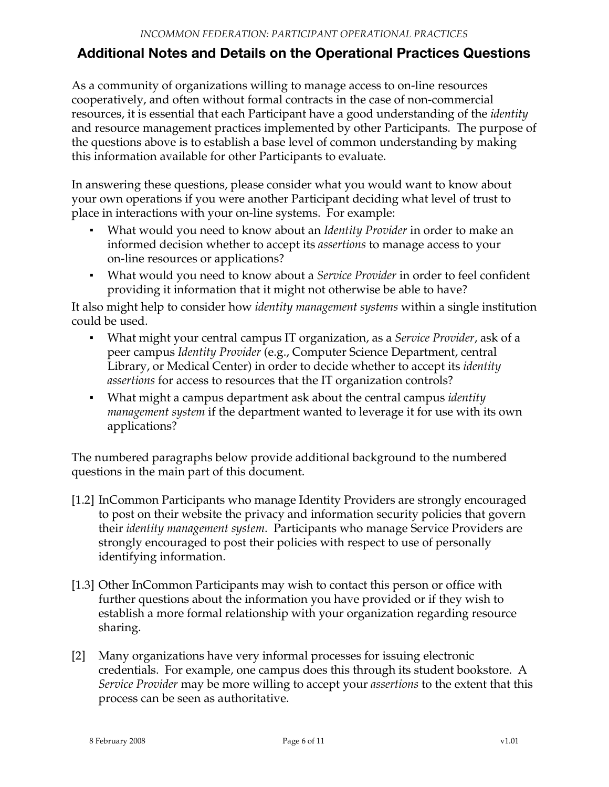## **Additional Notes and Details on the Operational Practices Questions**

As a community of organizations willing to manage access to on-line resources cooperatively, and often without formal contracts in the case of non-commercial resources, it is essential that each Participant have a good understanding of the *identity* and resource management practices implemented by other Participants. The purpose of the questions above is to establish a base level of common understanding by making this information available for other Participants to evaluate.

In answering these questions, please consider what you would want to know about your own operations if you were another Participant deciding what level of trust to place in interactions with your on-line systems. For example:

- What would you need to know about an *Identity Provider* in order to make an informed decision whether to accept its *assertions* to manage access to your on-line resources or applications?
- What would you need to know about a *Service Provider* in order to feel confident providing it information that it might not otherwise be able to have?

It also might help to consider how *identity management systems* within a single institution could be used.

- What might your central campus IT organization, as a *Service Provider*, ask of a peer campus *Identity Provider* (e.g., Computer Science Department, central Library, or Medical Center) in order to decide whether to accept its *identity assertions* for access to resources that the IT organization controls?
- **What might a campus department ask about the central campus** *identity management system* if the department wanted to leverage it for use with its own applications?

The numbered paragraphs below provide additional background to the numbered questions in the main part of this document.

- [1.2] InCommon Participants who manage Identity Providers are strongly encouraged to post on their website the privacy and information security policies that govern their *identity management system*. Participants who manage Service Providers are strongly encouraged to post their policies with respect to use of personally identifying information.
- [1.3] Other InCommon Participants may wish to contact this person or office with further questions about the information you have provided or if they wish to establish a more formal relationship with your organization regarding resource sharing.
- [2] Many organizations have very informal processes for issuing electronic credentials. For example, one campus does this through its student bookstore. A *Service Provider* may be more willing to accept your *assertions* to the extent that this process can be seen as authoritative.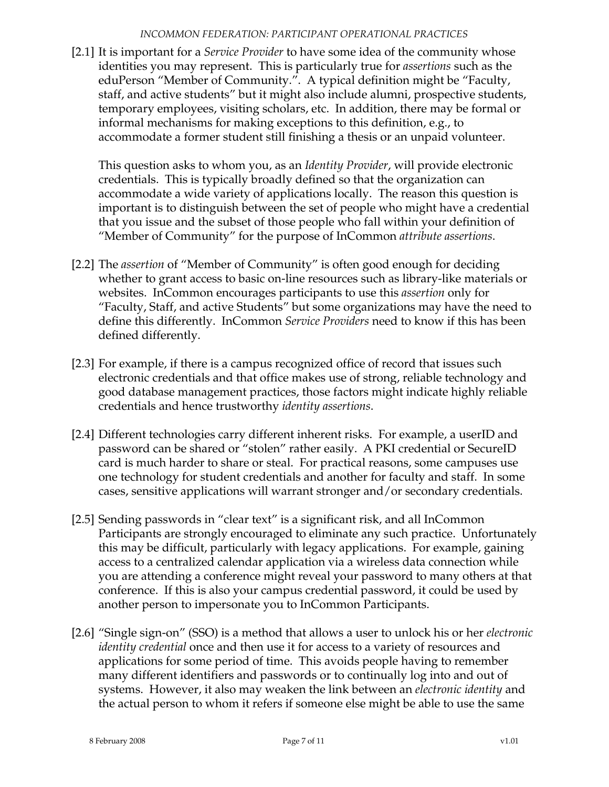[2.1] It is important for a *Service Provider* to have some idea of the community whose identities you may represent. This is particularly true for *assertions* such as the eduPerson "Member of Community.". A typical definition might be "Faculty, staff, and active students" but it might also include alumni, prospective students, temporary employees, visiting scholars, etc. In addition, there may be formal or informal mechanisms for making exceptions to this definition, e.g., to accommodate a former student still finishing a thesis or an unpaid volunteer.

This question asks to whom you, as an *Identity Provider*, will provide electronic credentials. This is typically broadly defined so that the organization can accommodate a wide variety of applications locally. The reason this question is important is to distinguish between the set of people who might have a credential that you issue and the subset of those people who fall within your definition of "Member of Community" for the purpose of InCommon *attribute assertions*.

- [2.2] The *assertion* of "Member of Community" is often good enough for deciding whether to grant access to basic on-line resources such as library-like materials or websites. InCommon encourages participants to use this *assertion* only for "Faculty, Staff, and active Students" but some organizations may have the need to define this differently. InCommon *Service Providers* need to know if this has been defined differently.
- [2.3] For example, if there is a campus recognized office of record that issues such electronic credentials and that office makes use of strong, reliable technology and good database management practices, those factors might indicate highly reliable credentials and hence trustworthy *identity assertions*.
- [2.4] Different technologies carry different inherent risks. For example, a userID and password can be shared or "stolen" rather easily. A PKI credential or SecureID card is much harder to share or steal. For practical reasons, some campuses use one technology for student credentials and another for faculty and staff. In some cases, sensitive applications will warrant stronger and/or secondary credentials.
- [2.5] Sending passwords in "clear text" is a significant risk, and all InCommon Participants are strongly encouraged to eliminate any such practice. Unfortunately this may be difficult, particularly with legacy applications. For example, gaining access to a centralized calendar application via a wireless data connection while you are attending a conference might reveal your password to many others at that conference. If this is also your campus credential password, it could be used by another person to impersonate you to InCommon Participants.
- [2.6] "Single sign-on" (SSO) is a method that allows a user to unlock his or her *electronic identity credential* once and then use it for access to a variety of resources and applications for some period of time. This avoids people having to remember many different identifiers and passwords or to continually log into and out of systems. However, it also may weaken the link between an *electronic identity* and the actual person to whom it refers if someone else might be able to use the same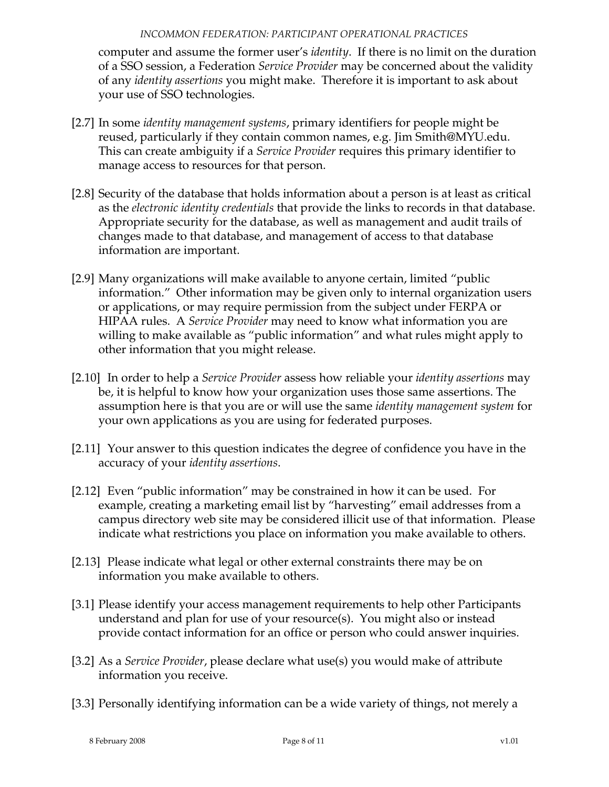computer and assume the former user's *identity*. If there is no limit on the duration of a SSO session, a Federation *Service Provider* may be concerned about the validity of any *identity assertions* you might make. Therefore it is important to ask about your use of SSO technologies.

- [2.7] In some *identity management systems*, primary identifiers for people might be reused, particularly if they contain common names, e.g. Jim Smith@MYU.edu. This can create ambiguity if a *Service Provider* requires this primary identifier to manage access to resources for that person.
- [2.8] Security of the database that holds information about a person is at least as critical as the *electronic identity credentials* that provide the links to records in that database. Appropriate security for the database, as well as management and audit trails of changes made to that database, and management of access to that database information are important.
- [2.9] Many organizations will make available to anyone certain, limited "public information." Other information may be given only to internal organization users or applications, or may require permission from the subject under FERPA or HIPAA rules. A *Service Provider* may need to know what information you are willing to make available as "public information" and what rules might apply to other information that you might release.
- [2.10] In order to help a *Service Provider* assess how reliable your *identity assertions* may be, it is helpful to know how your organization uses those same assertions. The assumption here is that you are or will use the same *identity management system* for your own applications as you are using for federated purposes.
- [2.11] Your answer to this question indicates the degree of confidence you have in the accuracy of your *identity assertions*.
- [2.12] Even "public information" may be constrained in how it can be used. For example, creating a marketing email list by "harvesting" email addresses from a campus directory web site may be considered illicit use of that information. Please indicate what restrictions you place on information you make available to others.
- [2.13] Please indicate what legal or other external constraints there may be on information you make available to others.
- [3.1] Please identify your access management requirements to help other Participants understand and plan for use of your resource(s). You might also or instead provide contact information for an office or person who could answer inquiries.
- [3.2] As a *Service Provider*, please declare what use(s) you would make of attribute information you receive.
- [3.3] Personally identifying information can be a wide variety of things, not merely a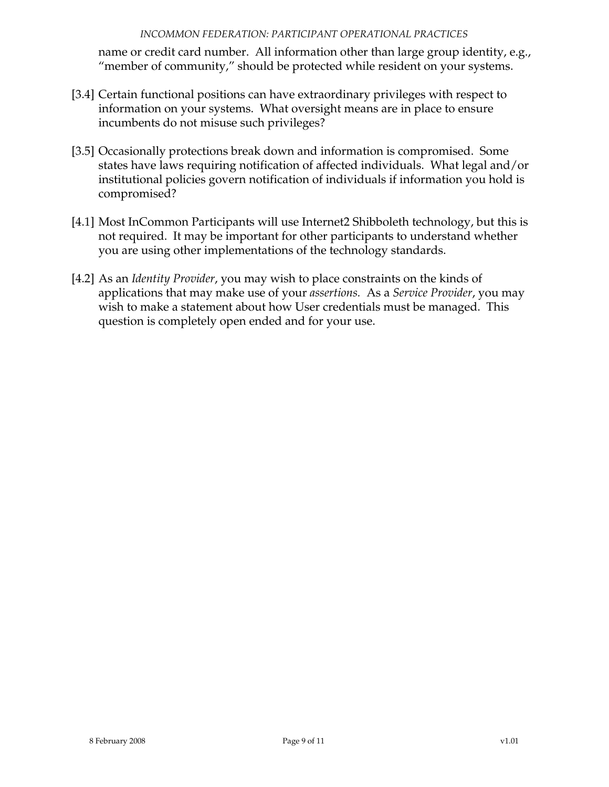name or credit card number. All information other than large group identity, e.g., "member of community," should be protected while resident on your systems.

- [3.4] Certain functional positions can have extraordinary privileges with respect to information on your systems. What oversight means are in place to ensure incumbents do not misuse such privileges?
- [3.5] Occasionally protections break down and information is compromised. Some states have laws requiring notification of affected individuals. What legal and/or institutional policies govern notification of individuals if information you hold is compromised?
- [4.1] Most InCommon Participants will use Internet2 Shibboleth technology, but this is not required. It may be important for other participants to understand whether you are using other implementations of the technology standards.
- [4.2] As an *Identity Provider*, you may wish to place constraints on the kinds of applications that may make use of your *assertions.* As a *Service Provider*, you may wish to make a statement about how User credentials must be managed. This question is completely open ended and for your use.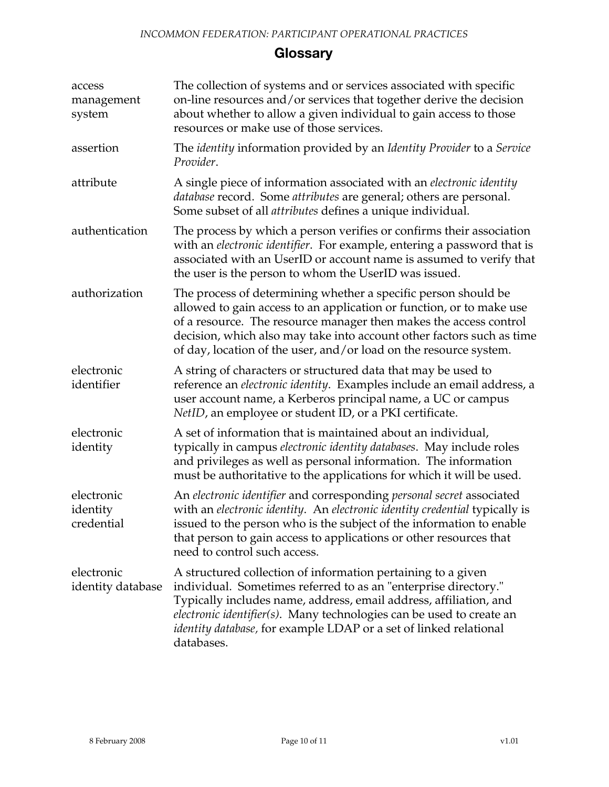## **Glossary**

| access<br>management<br>system       | The collection of systems and or services associated with specific<br>on-line resources and/or services that together derive the decision<br>about whether to allow a given individual to gain access to those<br>resources or make use of those services.                                                                                                      |
|--------------------------------------|-----------------------------------------------------------------------------------------------------------------------------------------------------------------------------------------------------------------------------------------------------------------------------------------------------------------------------------------------------------------|
| assertion                            | The <i>identity</i> information provided by an Identity Provider to a Service<br>Provider.                                                                                                                                                                                                                                                                      |
| attribute                            | A single piece of information associated with an <i>electronic identity</i><br>database record. Some attributes are general; others are personal.<br>Some subset of all <i>attributes</i> defines a unique individual.                                                                                                                                          |
| authentication                       | The process by which a person verifies or confirms their association<br>with an electronic identifier. For example, entering a password that is<br>associated with an UserID or account name is assumed to verify that<br>the user is the person to whom the UserID was issued.                                                                                 |
| authorization                        | The process of determining whether a specific person should be<br>allowed to gain access to an application or function, or to make use<br>of a resource. The resource manager then makes the access control<br>decision, which also may take into account other factors such as time<br>of day, location of the user, and/or load on the resource system.       |
| electronic<br>identifier             | A string of characters or structured data that may be used to<br>reference an <i>electronic identity</i> . Examples include an email address, a<br>user account name, a Kerberos principal name, a UC or campus<br>NetID, an employee or student ID, or a PKI certificate.                                                                                      |
| electronic<br>identity               | A set of information that is maintained about an individual,<br>typically in campus electronic identity databases. May include roles<br>and privileges as well as personal information. The information<br>must be authoritative to the applications for which it will be used.                                                                                 |
| electronic<br>identity<br>credential | An electronic identifier and corresponding personal secret associated<br>with an electronic identity. An electronic identity credential typically is<br>issued to the person who is the subject of the information to enable<br>that person to gain access to applications or other resources that<br>need to control such access.                              |
| electronic<br>identity database      | A structured collection of information pertaining to a given<br>individual. Sometimes referred to as an "enterprise directory."<br>Typically includes name, address, email address, affiliation, and<br>electronic identifier(s). Many technologies can be used to create an<br>identity database, for example LDAP or a set of linked relational<br>databases. |